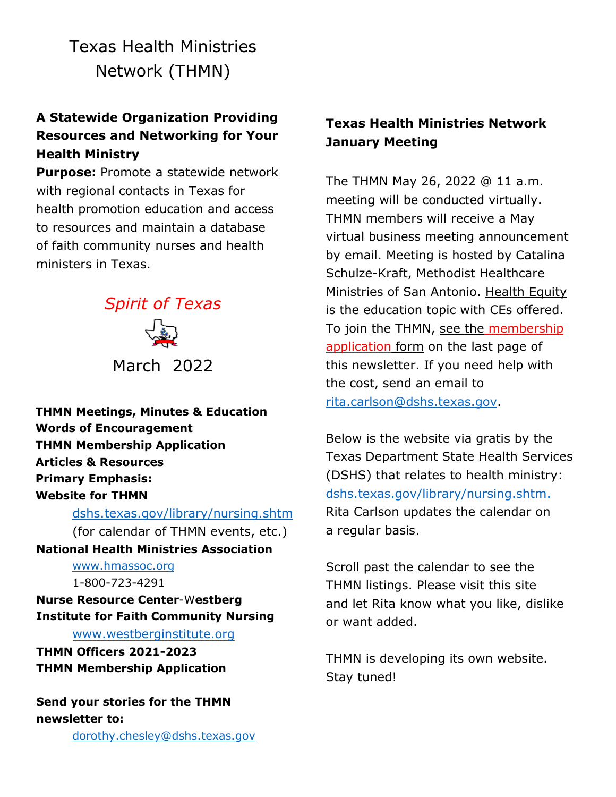Texas Health Ministries Network (THMN)

# **A Statewide Organization Providing Resources and Networking for Your Health Ministry**

**Purpose:** Promote a statewide network with regional contacts in Texas for health promotion education and access to resources and maintain a database of faith community nurses and health ministers in Texas.



**THMN Meetings, Minutes & Education Words of Encouragement THMN Membership Application Articles & Resources Primary Emphasis: Website for THMN**

[dshs.texas.gov/library/nursing.shtm](https://www.dshs.texas.gov/library/nursing.shtm) (for calendar of THMN events, etc.) **National Health Ministries Association** [www.hmassoc.org](http://www.hmassoc.org/) 1-800-723-4291 **Nurse Resource Center**-W**estberg**

**Institute for Faith Community Nursing**

[www.westberginstitute.org](http://www.westberginstitute.org/)

**THMN Officers 2021-2023 THMN Membership Application**

**Send your stories for the THMN newsletter to:**

[dorothy.chesley@dshs.texas.gov](mailto:dorothy.chesley@dshs.texas.gov)

# **Texas Health Ministries Network January Meeting**

The THMN May 26, 2022 @ 11 a.m. meeting will be conducted virtually. THMN members will receive a May virtual business meeting announcement by email. Meeting is hosted by Catalina Schulze-Kraft, Methodist Healthcare Ministries of San Antonio. Health Equity is the education topic with CEs offered. To join the THMN, see the membership application form on the last page of this newsletter. If you need help with the cost, send an email to [rita.carlson@dshs.texas.gov.](mailto:rita.carlson@dshs.texas.gov)

Below is the website via gratis by the Texas Department State Health Services (DSHS) that relates to health ministry: [dshs.texas.gov/library/nursing.shtm.](https://www.dshs.texas.gov/library/nursing.shtm) Rita Carlson updates the calendar on a regular basis.

Scroll past the calendar to see the THMN listings. Please visit this site and let Rita know what you like, dislike or want added.

THMN is developing its own website. Stay tuned!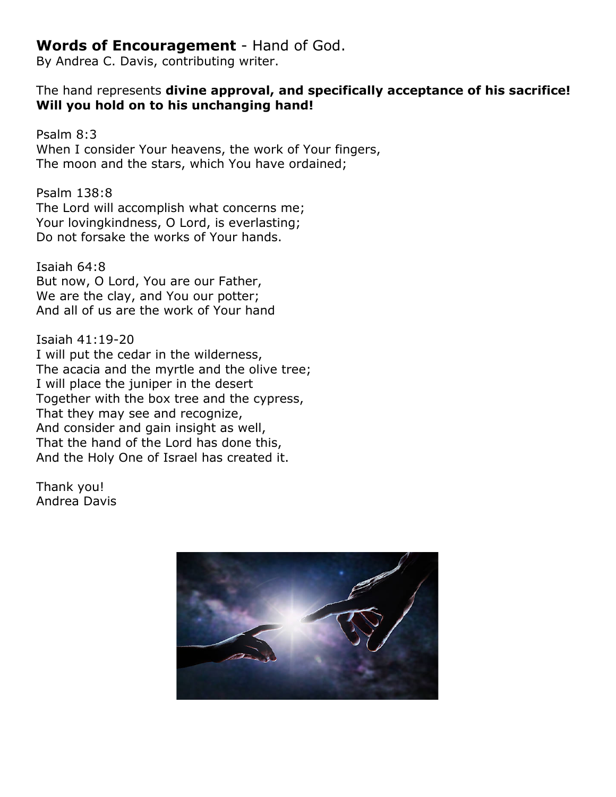# **Words of Encouragement** - Hand of God.

By Andrea C. Davis, contributing writer.

## The hand represents **divine approval, and specifically acceptance of his sacrifice! Will you hold on to his unchanging hand!**

Psalm 8:3 When I consider Your heavens, the work of Your fingers, The moon and the stars, which You have ordained;

Psalm 138:8 The Lord will accomplish what concerns me; Your lovingkindness, O Lord, is everlasting; Do not forsake the works of Your hands.

Isaiah 64:8 But now, O Lord, You are our Father, We are the clay, and You our potter; And all of us are the work of Your hand

Isaiah 41:19-20 I will put the cedar in the wilderness, The acacia and the myrtle and the olive tree; I will place the juniper in the desert Together with the box tree and the cypress, That they may see and recognize, And consider and gain insight as well, That the hand of the Lord has done this, And the Holy One of Israel has created it.

Thank you! Andrea Davis

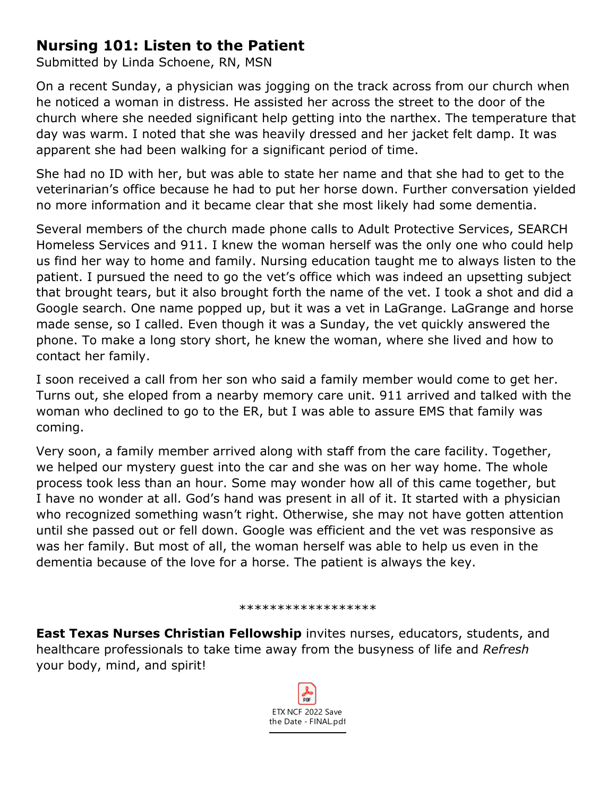# **Nursing 101: Listen to the Patient**

Submitted by Linda Schoene, RN, MSN

On a recent Sunday, a physician was jogging on the track across from our church when he noticed a woman in distress. He assisted her across the street to the door of the church where she needed significant help getting into the narthex. The temperature that day was warm. I noted that she was heavily dressed and her jacket felt damp. It was apparent she had been walking for a significant period of time.

She had no ID with her, but was able to state her name and that she had to get to the veterinarian's office because he had to put her horse down. Further conversation yielded no more information and it became clear that she most likely had some dementia.

Several members of the church made phone calls to Adult Protective Services, SEARCH Homeless Services and 911. I knew the woman herself was the only one who could help us find her way to home and family. Nursing education taught me to always listen to the patient. I pursued the need to go the vet's office which was indeed an upsetting subject that brought tears, but it also brought forth the name of the vet. I took a shot and did a Google search. One name popped up, but it was a vet in LaGrange. LaGrange and horse made sense, so I called. Even though it was a Sunday, the vet quickly answered the phone. To make a long story short, he knew the woman, where she lived and how to contact her family.

I soon received a call from her son who said a family member would come to get her. Turns out, she eloped from a nearby memory care unit. 911 arrived and talked with the woman who declined to go to the ER, but I was able to assure EMS that family was coming.

Very soon, a family member arrived along with staff from the care facility. Together, we helped our mystery guest into the car and she was on her way home. The whole process took less than an hour. Some may wonder how all of this came together, but I have no wonder at all. God's hand was present in all of it. It started with a physician who recognized something wasn't right. Otherwise, she may not have gotten attention until she passed out or fell down. Google was efficient and the vet was responsive as was her family. But most of all, the woman herself was able to help us even in the dementia because of the love for a horse. The patient is always the key.

#### \*\*\*\*\*\*\*\*\*\*\*\*\*\*\*\*

**East Texas Nurses Christian Fellowship** invites nurses, educators, students, and healthcare professionals to take time away from the busyness of life and *Refresh*  your body, mind, and spirit!

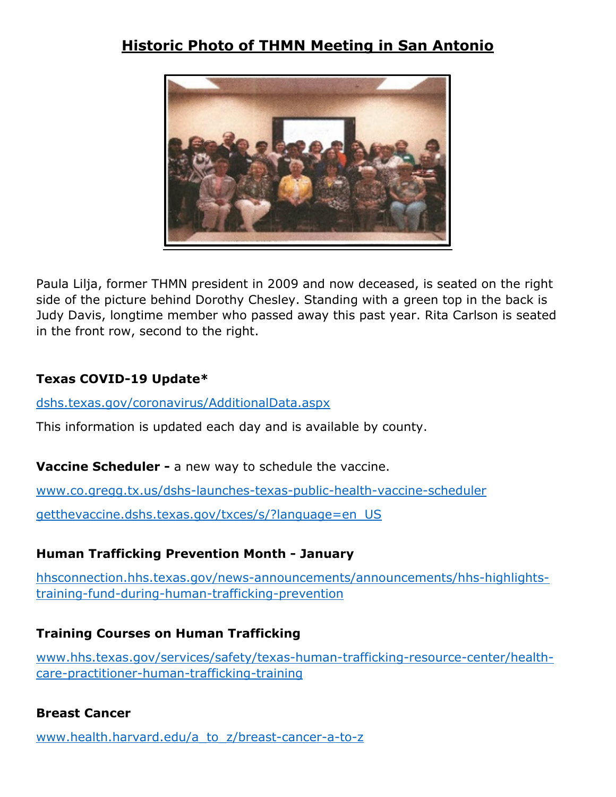# **Historic Photo of THMN Meeting in San Antonio**



Paula Lilja, former THMN president in 2009 and now deceased, is seated on the right side of the picture behind Dorothy Chesley. Standing with a green top in the back is Judy Davis, longtime member who passed away this past year. Rita Carlson is seated in the front row, second to the right.

## **Texas COVID-19 Update\***

[dshs.texas.gov/coronavirus/AdditionalData.aspx](https://dshs.texas.gov/coronavirus/AdditionalData.aspx)

This information is updated each day and is available by county.

**Vaccine Scheduler -** a new way to schedule the vaccine.

[www.co.gregg.tx.us/dshs-launches-texas-public-health-vaccine-scheduler](http://www.co.gregg.tx.us/dshs-launches-texas-public-health-vaccine-scheduler)

[getthevaccine.dshs.texas.gov/txces/s/?language=en\\_US](https://getthevaccine.dshs.texas.gov/txces/s/?language=en_US)

## **Human Trafficking Prevention Month - January**

[hhsconnection.hhs.texas.gov/news-announcements/announcements/hhs-highlights](https://hhsconnection.hhs.texas.gov/news-announcements/announcements/hhs-highlights-training-fund-during-human-trafficking-prevention)[training-fund-during-human-trafficking-prevention](https://hhsconnection.hhs.texas.gov/news-announcements/announcements/hhs-highlights-training-fund-during-human-trafficking-prevention)

## **Training Courses on Human Trafficking**

[www.hhs.texas.gov/services/safety/texas-human-trafficking-resource-center/health](https://www.hhs.texas.gov/services/safety/texas-human-trafficking-resource-center/health-care-practitioner-human-trafficking-training)[care-practitioner-human-trafficking-training](https://www.hhs.texas.gov/services/safety/texas-human-trafficking-resource-center/health-care-practitioner-human-trafficking-training)

## **Breast Cancer**

[www.health.harvard.edu/a\\_to\\_z/breast-cancer-a-to-z](http://www.health.harvard.edu/a_to_z/breast-cancer-a-to-z)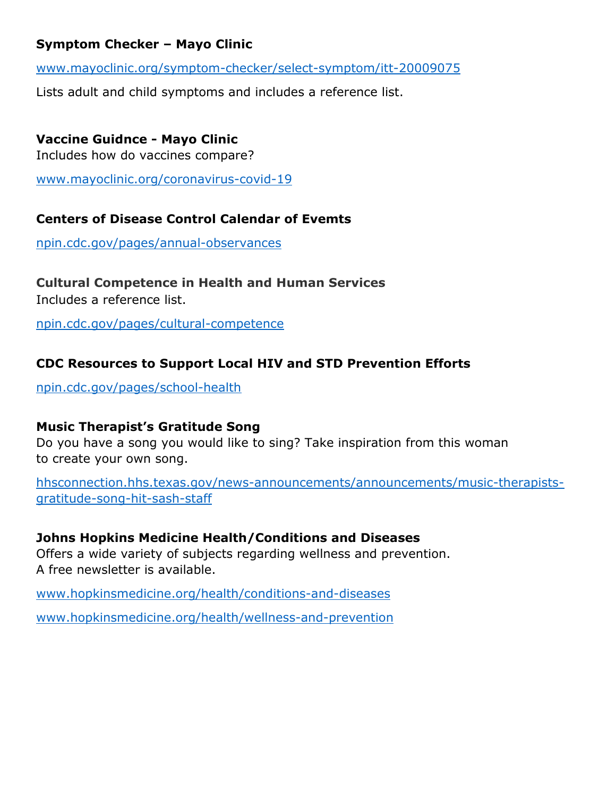## **Symptom Checker – Mayo Clinic**

[www.mayoclinic.org/symptom-checker/select-symptom/itt-20009075](http://www.mayoclinic.org/symptom-checker/select-symptom/itt-20009075)

Lists adult and child symptoms and includes a reference list.

## **Vaccine Guidnce - Mayo Clinic**

Includes how do vaccines compare?

[www.mayoclinic.org/coronavirus-covid-19](http://www.mayoclinic.org/coronavirus-covid-19)

### **Centers of Disease Control Calendar of Evemts**

[npin.cdc.gov/pages/annual-observances](https://npin.cdc.gov/pages/annual-observances)

#### **Cultural Competence in Health and Human Services** Includes a reference list.

[npin.cdc.gov/pages/cultural-competence](https://npin.cdc.gov/pages/cultural-competence)

## **CDC Resources to Support Local HIV and STD Prevention Efforts**

[npin.cdc.gov/pages/school-health](https://npin.cdc.gov/pages/school-health)

## **Music Therapist's Gratitude Song**

Do you have a song you would like to sing? Take inspiration from this woman to create your own song.

[hhsconnection.hhs.texas.gov/news-announcements/announcements/music-therapists](https://hhsconnection.hhs.texas.gov/news-announcements/announcements/music-therapists-gratitude-song-hit-sash-staff)[gratitude-song-hit-sash-staff](https://hhsconnection.hhs.texas.gov/news-announcements/announcements/music-therapists-gratitude-song-hit-sash-staff)

#### **Johns Hopkins Medicine Health/Conditions and Diseases**

Offers a wide variety of subjects regarding wellness and prevention. A free newsletter is available.

[www.hopkinsmedicine.org/health/conditions-and-diseases](https://www.hopkinsmedicine.org/health/conditions-and-diseases)

[www.hopkinsmedicine.org/health/wellness-and-prevention](https://www.hopkinsmedicine.org/health/wellness-and-prevention)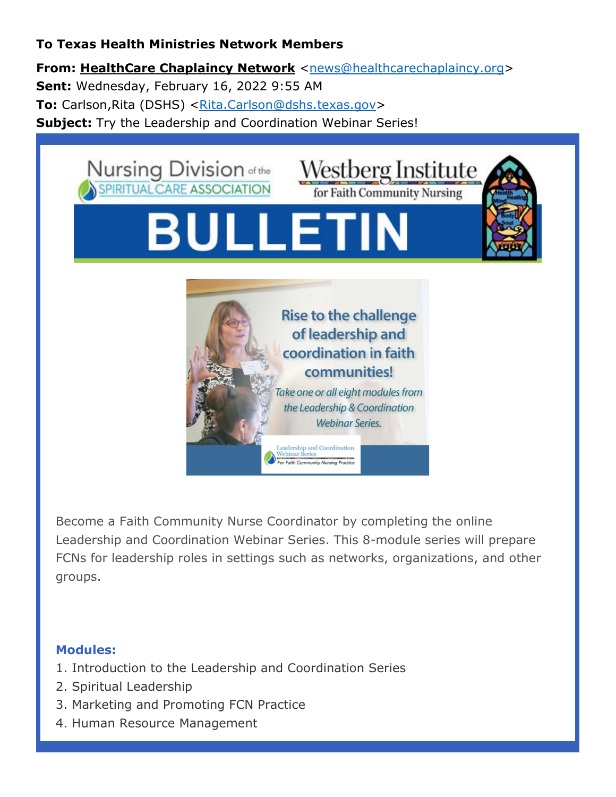## **To Texas Health Ministries Network Members**

**From: HealthCare Chaplaincy Network** [<news@healthcarechaplaincy.org>](mailto:news@healthcarechaplaincy.org) **Sent:** Wednesday, February 16, 2022 9:55 AM **To:** Carlson,Rita (DSHS) [<Rita.Carlson@dshs.texas.gov>](mailto:Rita.Carlson@dshs.texas.gov) **Subject:** Try the Leadership and Coordination Webinar Series!



Become a Faith Community Nurse Coordinator by completing the online Leadership and Coordination Webinar Series. This 8-module series will prepare FCNs for leadership roles in settings such as networks, organizations, and other groups.

## **Modules:**

- 1. Introduction to the Leadership and Coordination Series
- 2. Spiritual Leadership
- 3. Marketing and Promoting FCN Practice
- 4. Human Resource Management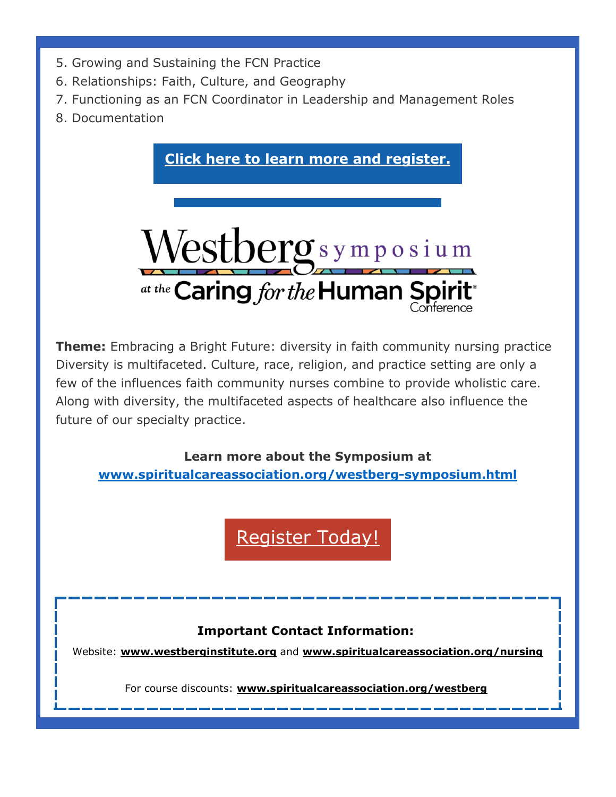- 5. Growing and Sustaining the FCN Practice
- 6. Relationships: Faith, Culture, and Geography
- 7. Functioning as an FCN Coordinator in Leadership and Management Roles
- 8. Documentation



**Theme:** Embracing a Bright Future: diversity in faith community nursing practice Diversity is multifaceted. Culture, race, religion, and practice setting are only a few of the influences faith community nurses combine to provide wholistic care. Along with diversity, the multifaceted aspects of healthcare also influence the future of our specialty practice.

**Learn more about the Symposium at [www.spiritualcareassociation.org/westberg-symposium.html](http://www.spiritualcareassociation.org/westberg-symposium.html)**

[Register Today!](https://r20.rs6.net/tn.jsp?f=001ZMv0J84wV_FrbRiqavgo0XYP5jbXkDmeY5cS3dUBAVq3LOJQYo99tw664L2UhwcBis5o5NF7jvCyYEc43tm41FzbR9mlxB8vz5w2b6ZaB9P5HPKp6nIKX5NGPJJu-hiUO92fWTgc9Z-KXvcisapwt9LmkM61YB5T5pCyag454ZpsoRBmRevNNVSk4ZirdvpAkqG7eiA5U5SzGEno1et_lQ==&c=vu_QGa7ZApNMRd7kuXFApZWxD1ue4fopjJynUXSXGuQgSdfY2sdCxw==&ch=Fx7U0m0OsTIJyHO_TXM5AU235bLzZMoXjWbqgyFd7BO1x3wNTHnlmw==)

# **Important Contact Information:**

Website: **[www.westberginstitute.org](https://r20.rs6.net/tn.jsp?f=001ZMv0J84wV_FrbRiqavgo0XYP5jbXkDmeY5cS3dUBAVq3LOJQYo99t3Hs6tBYXI_WPYR-6sVBEOaApyArJMjzqO9-XSAav40YXUqa9i4T6BajRRGmii3FdjJjLI3U51hfX5Kxxaa9InyMVibhiy12_-wH0x8LlLaA&c=vu_QGa7ZApNMRd7kuXFApZWxD1ue4fopjJynUXSXGuQgSdfY2sdCxw==&ch=Fx7U0m0OsTIJyHO_TXM5AU235bLzZMoXjWbqgyFd7BO1x3wNTHnlmw==)** and **[www.spiritualcareassociation.org/nursing](https://r20.rs6.net/tn.jsp?f=001ZMv0J84wV_FrbRiqavgo0XYP5jbXkDmeY5cS3dUBAVq3LOJQYo99t1IDh2sL-_gjDgrq5wtxS3bmDrMRJhdrjhR0llKkubxPhlR_d-vG--OR3LRXzGnronzXiy4sPis6cjG3oAzo-wR-DxQXXe-1A4e1OQmjgsAVyShQhTcDKd-ZFddblQ6Lcg==&c=vu_QGa7ZApNMRd7kuXFApZWxD1ue4fopjJynUXSXGuQgSdfY2sdCxw==&ch=Fx7U0m0OsTIJyHO_TXM5AU235bLzZMoXjWbqgyFd7BO1x3wNTHnlmw==)**

For course discounts: **[www.spiritualcareassociation.org/westberg](https://r20.rs6.net/tn.jsp?f=001ZMv0J84wV_FrbRiqavgo0XYP5jbXkDmeY5cS3dUBAVq3LOJQYo99t4mdtwjjA7WzHOByxfU6v_m26Q6GdLK4M6hRw_azLW0DCDHqy0o2rLNuX8njZentbdZGvgfGU066mmMUA2M1oBMaAqco6SH59TOQKkD-CSjYWOdPaD_WsHtYoEVoYhn_rw==&c=vu_QGa7ZApNMRd7kuXFApZWxD1ue4fopjJynUXSXGuQgSdfY2sdCxw==&ch=Fx7U0m0OsTIJyHO_TXM5AU235bLzZMoXjWbqgyFd7BO1x3wNTHnlmw==)**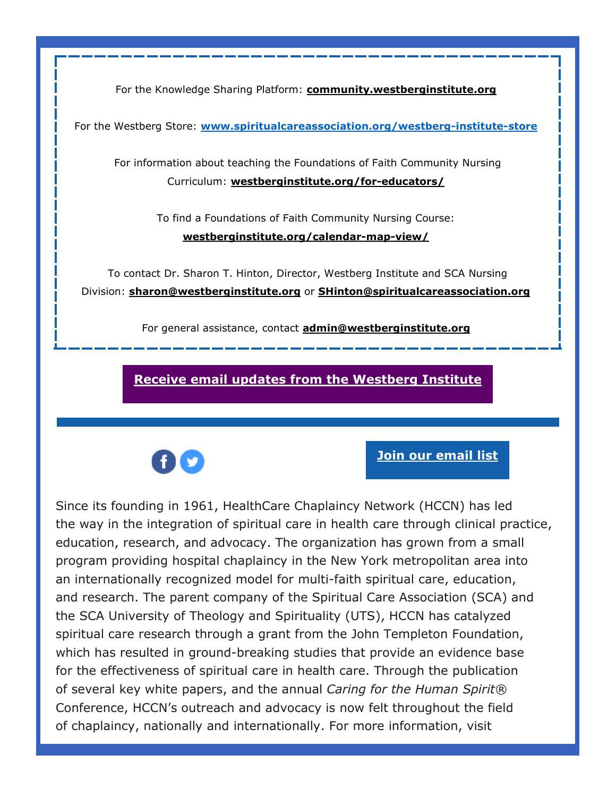For the Knowledge Sharing Platform: **[community.westberginstitute.org](https://r20.rs6.net/tn.jsp?f=001ZMv0J84wV_FrbRiqavgo0XYP5jbXkDmeY5cS3dUBAVq3LOJQYo99tx1WjnHyBWuAxT0ds_KkA8B1qnKjwH6WTs4PvhRrMWwRXhKArYnADhs4c6uRFHat8nllDTld7D6zfYQrqalPWblyeP0OEu0T4om3DtsrZ9N6FBONQFgpYnY=&c=vu_QGa7ZApNMRd7kuXFApZWxD1ue4fopjJynUXSXGuQgSdfY2sdCxw==&ch=Fx7U0m0OsTIJyHO_TXM5AU235bLzZMoXjWbqgyFd7BO1x3wNTHnlmw==)**

For the Westberg Store: **[www.spiritualcareassociation.org/westberg-institute-store](http://www.spiritualcareassociation.org/westberg-institute-store)**

For information about teaching the Foundations of Faith Community Nursing Curriculum: **[westberginstitute.org/for-educators/](https://r20.rs6.net/tn.jsp?f=001ZMv0J84wV_FrbRiqavgo0XYP5jbXkDmeY5cS3dUBAVq3LOJQYo99tx1WjnHyBWuAurjr8iidwbBtWbQyvRJJnxABn996uNJH2yoRc6UP7octm7D9T1p8BU28mws7frj6RTofm2Q9gc3BWM2KtPqFbfhuJOrXMpYyzB5dL8ZzhRA=&c=vu_QGa7ZApNMRd7kuXFApZWxD1ue4fopjJynUXSXGuQgSdfY2sdCxw==&ch=Fx7U0m0OsTIJyHO_TXM5AU235bLzZMoXjWbqgyFd7BO1x3wNTHnlmw==)**

> To find a Foundations of Faith Community Nursing Course: **[westberginstitute.org/calendar-map-view/](https://r20.rs6.net/tn.jsp?f=001ZMv0J84wV_FrbRiqavgo0XYP5jbXkDmeY5cS3dUBAVq3LOJQYo99t_ZBs3-rG2i7C7XH7aWTbH-4zQfJVo6K6QMFuJjH75N3mf1KNPHfabgtcQ1OGMxdscQhryOkgBrYMpQukd5CIHZWkN4usIQTBvAL8tNtiw0tHJR6rrd1Rl1uphE2nUi89A==&c=vu_QGa7ZApNMRd7kuXFApZWxD1ue4fopjJynUXSXGuQgSdfY2sdCxw==&ch=Fx7U0m0OsTIJyHO_TXM5AU235bLzZMoXjWbqgyFd7BO1x3wNTHnlmw==)**

To contact Dr. Sharon T. Hinton, Director, Westberg Institute and SCA Nursing Division: **[sharon@westberginstitute.org](mailto:sharon@westberginstitute.org)** or **[SHinton@spiritualcareassociation.org](mailto:SHinton@spiritualcareassociation.org)**

For general assistance, contact **[admin@westberginstitute.org](mailto:admin@westberginstitute.org)**

**[Receive email updates from the Westberg Institute](https://r20.rs6.net/tn.jsp?f=001ZMv0J84wV_FrbRiqavgo0XYP5jbXkDmeY5cS3dUBAVq3LOJQYo99t8HxUMd-pYGb4AQ1G7tOo2tlzRD8ILhAcfwGk6_y3VYoQClmhTlnhUtAD41QaWQ4aJcpxz4PDcd27axGUvabFPyF8IRvQkO1CsqLpFRLwX8JmlaT5hANT-A=&c=vu_QGa7ZApNMRd7kuXFApZWxD1ue4fopjJynUXSXGuQgSdfY2sdCxw==&ch=Fx7U0m0OsTIJyHO_TXM5AU235bLzZMoXjWbqgyFd7BO1x3wNTHnlmw==)**



**[Join our email list](https://r20.rs6.net/tn.jsp?f=001ZMv0J84wV_FrbRiqavgo0XYP5jbXkDmeY5cS3dUBAVq3LOJQYo99txBqLI-8n_gvWSqw_DBJDfHjS72KJnsw9deKNzUpsdk1nm6f99o8tXLe62ebWxDnDvOiFmXoc-RVW3ZJ9buFfF3QQv-LFbkz10V30JUyE9pyO7tUAxROcjh1MYq0xia1XKOZpbSb1icZnNHXP2kK92KUIkOrrJyrb1umioza6LSDAUKtn1h6Y74P4jk2Qopkew==&c=vu_QGa7ZApNMRd7kuXFApZWxD1ue4fopjJynUXSXGuQgSdfY2sdCxw==&ch=Fx7U0m0OsTIJyHO_TXM5AU235bLzZMoXjWbqgyFd7BO1x3wNTHnlmw==)**

Since its founding in 1961, HealthCare Chaplaincy Network (HCCN) has led the way in the integration of spiritual care in health care through clinical practice, education, research, and advocacy. The organization has grown from a small program providing hospital chaplaincy in the New York metropolitan area into an internationally recognized model for multi-faith spiritual care, education, and research. The parent company of the Spiritual Care Association (SCA) and the SCA University of Theology and Spirituality (UTS), HCCN has catalyzed spiritual care research through a grant from the John Templeton Foundation, which has resulted in ground-breaking studies that provide an evidence base for the effectiveness of spiritual care in health care. Through the publication of several key white papers, and the annual *Caring for the Human Spirit®* Conference, HCCN's outreach and advocacy is now felt throughout the field of chaplaincy, nationally and internationally. For more information, visit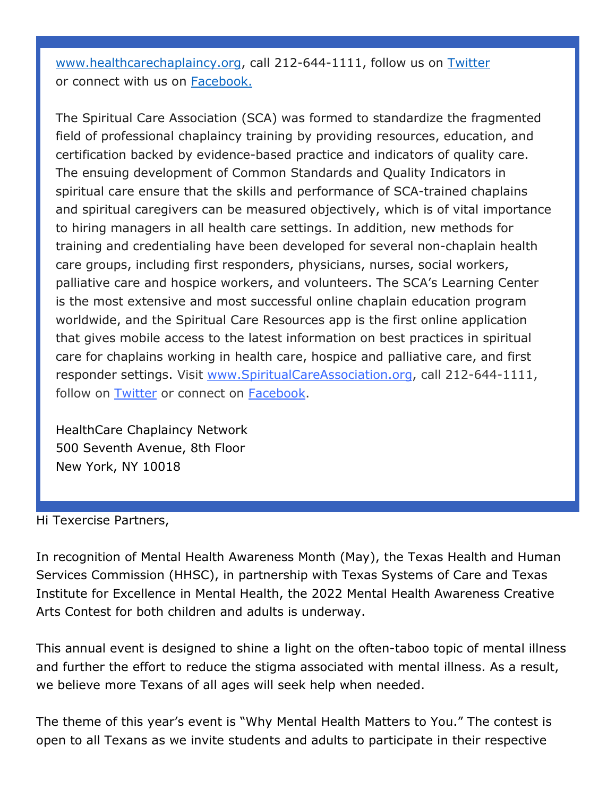[www.healthcarechaplaincy.org,](http://www.healthcarechaplaincy.org/) call 212-644-1111, follow us on [Twitter](https://r20.rs6.net/tn.jsp?f=001ZMv0J84wV_FrbRiqavgo0XYP5jbXkDmeY5cS3dUBAVq3LOJQYo99t9QBMSo9ZYMd1sHWU7_Nl0bTUoiI_xcZAPCuoqRR9vASqVI2BWXclGjYRLTZfvYZlas-WOe75uqDeCTaT9z5qKZpRtdCyFVrloNHutt5csub&c=vu_QGa7ZApNMRd7kuXFApZWxD1ue4fopjJynUXSXGuQgSdfY2sdCxw==&ch=Fx7U0m0OsTIJyHO_TXM5AU235bLzZMoXjWbqgyFd7BO1x3wNTHnlmw==) or connect with us on [Facebook.](https://r20.rs6.net/tn.jsp?f=001ZMv0J84wV_FrbRiqavgo0XYP5jbXkDmeY5cS3dUBAVq3LOJQYo99t7HOAhmpcJTSu6zrsAcmwiTUTL3oY1Lx4nBNoQwAUayxYjiZQN5j-u4AEPWVKaCA8gBzpNrr06CVcOQAqxmhO8qc03aVjFaiHfJwSNZn0g3xdv-GM5th8GY=&c=vu_QGa7ZApNMRd7kuXFApZWxD1ue4fopjJynUXSXGuQgSdfY2sdCxw==&ch=Fx7U0m0OsTIJyHO_TXM5AU235bLzZMoXjWbqgyFd7BO1x3wNTHnlmw==)

The Spiritual Care Association (SCA) was formed to standardize the fragmented field of professional chaplaincy training by providing resources, education, and certification backed by evidence-based practice and indicators of quality care. The ensuing development of Common Standards and Quality Indicators in spiritual care ensure that the skills and performance of SCA-trained chaplains and spiritual caregivers can be measured objectively, which is of vital importance to hiring managers in all health care settings. In addition, new methods for training and credentialing have been developed for several non-chaplain health care groups, including first responders, physicians, nurses, social workers, palliative care and hospice workers, and volunteers. The SCA's Learning Center is the most extensive and most successful online chaplain education program worldwide, and the Spiritual Care Resources app is the first online application that gives mobile access to the latest information on best practices in spiritual care for chaplains working in health care, hospice and palliative care, and first responder settings. Visit [www.SpiritualCareAssociation.org,](https://r20.rs6.net/tn.jsp?f=001ZMv0J84wV_FrbRiqavgo0XYP5jbXkDmeY5cS3dUBAVq3LOJQYo99t_GyuBOPTAs2Oxjnlx_jcbDlHk9xA6rKd2qOV_u6zlSPfzW9lvf2ypjSFFzISdinOEslCAJ-G-mjNG7r-TZwY7LeCM45SefOp_auLTWXz8h7aI-spSMJCnI=&c=vu_QGa7ZApNMRd7kuXFApZWxD1ue4fopjJynUXSXGuQgSdfY2sdCxw==&ch=Fx7U0m0OsTIJyHO_TXM5AU235bLzZMoXjWbqgyFd7BO1x3wNTHnlmw==) call 212-644-1111, follow on [Twitter](https://r20.rs6.net/tn.jsp?f=001ZMv0J84wV_FrbRiqavgo0XYP5jbXkDmeY5cS3dUBAVq3LOJQYo99t6u-H4ACe2O2vMmbaRQTJ3dzQWdtDFeGAa7xztGmd7axQwYrQBXT3zedWv2_KzYehCAehYozhsR5AiYbiHPnIK9-9iNSFYE1sojmG3iSFoed&c=vu_QGa7ZApNMRd7kuXFApZWxD1ue4fopjJynUXSXGuQgSdfY2sdCxw==&ch=Fx7U0m0OsTIJyHO_TXM5AU235bLzZMoXjWbqgyFd7BO1x3wNTHnlmw==) or connect on [Facebook.](https://r20.rs6.net/tn.jsp?f=001ZMv0J84wV_FrbRiqavgo0XYP5jbXkDmeY5cS3dUBAVq3LOJQYo99t9QdEgFCd3MT07-2U_FdOz2Owg5IajjVo-lDpZJqUIKei0ZeKKwfaTLqcam-OeeGUwxpzjfZGtXZlAtK6qBO4gnIHhdgc2tijeGOchveptR67WVI_GgvQrLUhb7x0IwZAA==&c=vu_QGa7ZApNMRd7kuXFApZWxD1ue4fopjJynUXSXGuQgSdfY2sdCxw==&ch=Fx7U0m0OsTIJyHO_TXM5AU235bLzZMoXjWbqgyFd7BO1x3wNTHnlmw==)

HealthCare Chaplaincy Network 500 Seventh Avenue, 8th Floor New York, NY 10018

Hi Texercise Partners,

In recognition of Mental Health Awareness Month (May), the Texas Health and Human Services Commission (HHSC), in partnership with Texas Systems of Care and Texas Institute for Excellence in Mental Health, the 2022 Mental Health Awareness Creative Arts Contest for both children and adults is underway.

This annual event is designed to shine a light on the often-taboo topic of mental illness and further the effort to reduce the stigma associated with mental illness. As a result, we believe more Texans of all ages will seek help when needed.

The theme of this year's event is "Why Mental Health Matters to You." The contest is open to all Texans as we invite students and adults to participate in their respective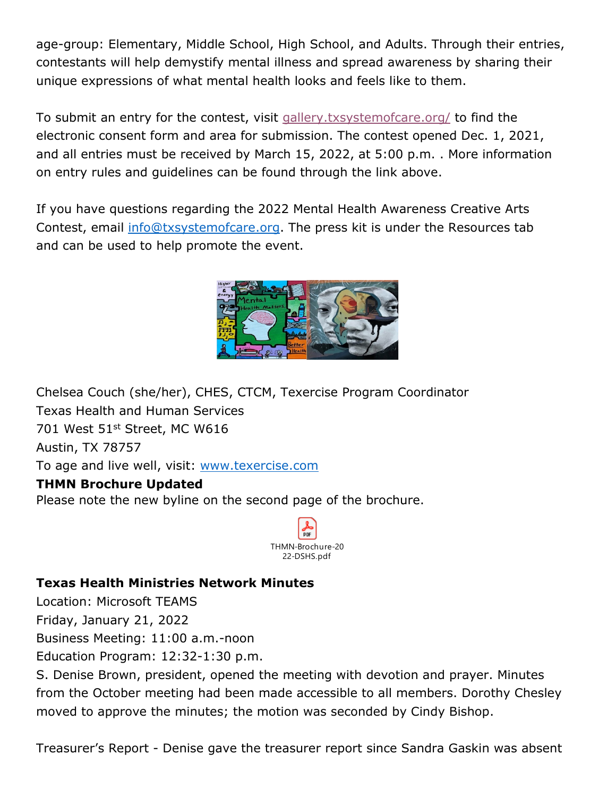age-group: Elementary, Middle School, High School, and Adults. Through their entries, contestants will help demystify mental illness and spread awareness by sharing their unique expressions of what mental health looks and feels like to them.

To submit an entry for the contest, visit [gallery.txsystemofcare.org/](https://gallery.txsystemofcare.org/) to find the electronic consent form and area for submission. The contest opened Dec. 1, 2021, and all entries must be received by March 15, 2022, at 5:00 p.m. . More information on entry rules and guidelines can be found through the link above.

If you have questions regarding the 2022 Mental Health Awareness Creative Arts Contest, email [info@txsystemofcare.org.](mailto:info@txsystemofcare.org?subject=2022%20Mental%20Health%20Awareness%20Creative%20Arts%20Contest) The [press kit](https://nam12.safelinks.protection.outlook.com/?url=https%3A%2F%2Fgallery.txsystemofcare.org%2F2022-press-kit%2F&data=04%7C01%7CChelsea.Couch%40hhs.texas.gov%7C28d7db542a2d431aa10508d9f1a039f5%7C9bf9773282b9499bb16aa93e8ebd536b%7C0%7C0%7C637806492731814730%7CUnknown%7CTWFpbGZsb3d8eyJWIjoiMC4wLjAwMDAiLCJQIjoiV2luMzIiLCJBTiI6Ik1haWwiLCJXVCI6Mn0%3D%7C3000&sdata=9Bl3gNWIMYGYXcwvarnbNEh%2BaKeimpAG5HYC0%2BN8yvA%3D&reserved=0) is under the Resources tab and can be used to help promote the event.



Chelsea Couch (she/her), CHES, CTCM, Texercise Program Coordinator Texas Health and Human Services 701 West 51st Street, MC W616 Austin, TX 78757 To age and live well, visit: [www.texercise.com](https://www.hhs.texas.gov/services/health/wellness/texercise?utm_source=texercise-domain&utm_medium=vanity-url&utm_campaign=website)

## **THMN Brochure Updated**

Please note the new byline on the second page of the brochure.



## **Texas Health Ministries Network Minutes**

Location: Microsoft TEAMS Friday, January 21, 2022

Business Meeting: 11:00 a.m.-noon

Education Program: 12:32-1:30 p.m.

S. Denise Brown, president, opened the meeting with devotion and prayer. Minutes from the October meeting had been made accessible to all members. Dorothy Chesley moved to approve the minutes; the motion was seconded by Cindy Bishop.

Treasurer's Report - Denise gave the treasurer report since Sandra Gaskin was absent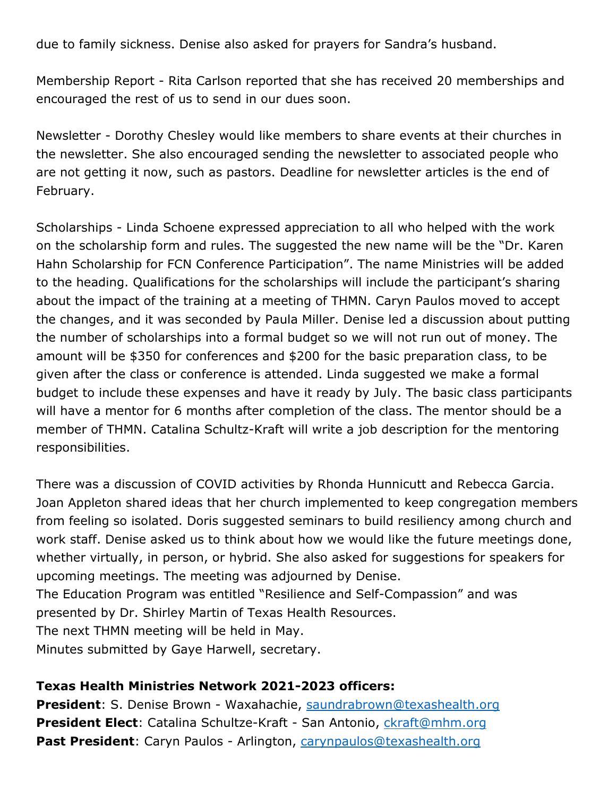due to family sickness. Denise also asked for prayers for Sandra's husband.

Membership Report - Rita Carlson reported that she has received 20 memberships and encouraged the rest of us to send in our dues soon.

Newsletter - Dorothy Chesley would like members to share events at their churches in the newsletter. She also encouraged sending the newsletter to associated people who are not getting it now, such as pastors. Deadline for newsletter articles is the end of February.

Scholarships - Linda Schoene expressed appreciation to all who helped with the work on the scholarship form and rules. The suggested the new name will be the "Dr. Karen Hahn Scholarship for FCN Conference Participation". The name Ministries will be added to the heading. Qualifications for the scholarships will include the participant's sharing about the impact of the training at a meeting of THMN. Caryn Paulos moved to accept the changes, and it was seconded by Paula Miller. Denise led a discussion about putting the number of scholarships into a formal budget so we will not run out of money. The amount will be \$350 for conferences and \$200 for the basic preparation class, to be given after the class or conference is attended. Linda suggested we make a formal budget to include these expenses and have it ready by July. The basic class participants will have a mentor for 6 months after completion of the class. The mentor should be a member of THMN. Catalina Schultz-Kraft will write a job description for the mentoring responsibilities.

There was a discussion of COVID activities by Rhonda Hunnicutt and Rebecca Garcia. Joan Appleton shared ideas that her church implemented to keep congregation members from feeling so isolated. Doris suggested seminars to build resiliency among church and work staff. Denise asked us to think about how we would like the future meetings done, whether virtually, in person, or hybrid. She also asked for suggestions for speakers for upcoming meetings. The meeting was adjourned by Denise.

The Education Program was entitled "Resilience and Self-Compassion" and was presented by Dr. Shirley Martin of Texas Health Resources. The next THMN meeting will be held in May.

Minutes submitted by Gaye Harwell, secretary.

## **Texas Health Ministries Network 2021-2023 officers:**

**President**: S. Denise Brown - Waxahachie, [saundrabrown@texashealth.org](mailto:saundrabrown@texashealth.org) **President Elect**: Catalina Schultze-Kraft - San Antonio, [ckraft@mhm.org](mailto:ckraft@mhm.org) Past President: Caryn Paulos - Arlington, [carynpaulos@texashealth.org](mailto:carynpaulos@texashealth.org)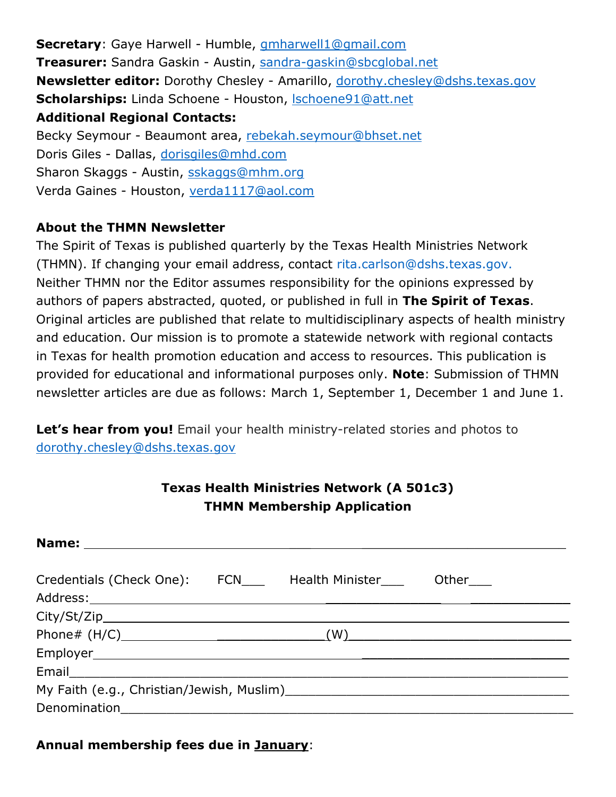**Secretary**: Gaye Harwell - Humble, [gmharwell1@gmail.com](mailto:gmharwell1@gmail.com) **Treasurer:** Sandra Gaskin - Austin, [sandra-gaskin@sbcglobal.net](mailto:sandra-gaskin@sbcglobal.net) **Newsletter editor:** Dorothy Chesley - Amarillo, [dorothy.chesley@dshs.texas.gov](mailto:dorothy.chesley@dshs.texas.gov) **Scholarships:** Linda Schoene - Houston, [lschoene91@att.net](mailto:lschoene91@att.net) **Additional Regional Contacts:** Becky Seymour - Beaumont area, [rebekah.seymour@bhset.net](mailto:rebekah.seymour@bhset.net) Doris Giles - Dallas, [dorisgiles@mhd.com](mailto:dorisgiles@mhd.com) Sharon Skaggs - Austin, [sskaggs@mhm.org](mailto:sskaggs@mhm.org) Verda Gaines - Houston, [verda1117@aol.com](mailto:verda1117@aol.com)

## **About the THMN Newsletter**

The Spirit of Texas is published quarterly by the Texas Health Ministries Network (THMN). If changing your email address, contact [rita.carlson@dshs.texas.gov.](mailto:rita.carlson@dshs.texas.gov) Neither THMN nor the Editor assumes responsibility for the opinions expressed by authors of papers abstracted, quoted, or published in full in **The Spirit of Texas**. Original articles are published that relate to multidisciplinary aspects of health ministry and education. Our mission is to promote a statewide network with regional contacts in Texas for health promotion education and access to resources. This publication is provided for educational and informational purposes only. **Note**: Submission of THMN newsletter articles are due as follows: March 1, September 1, December 1 and June 1.

Let's hear from you! Email your health ministry-related stories and photos to [dorothy.chesley@dshs.texas.gov](mailto:dorothy.chesley@dshs.texas.gov)

# **Texas Health Ministries Network (A 501c3) THMN Membership Application**

| Credentials (Check One): FCN____ Health Minister____ Other___ |  |  |     |
|---------------------------------------------------------------|--|--|-----|
| City/St/Zip                                                   |  |  |     |
|                                                               |  |  | (W) |
|                                                               |  |  |     |
|                                                               |  |  |     |
|                                                               |  |  |     |
|                                                               |  |  |     |

#### **Annual membership fees due in January**: